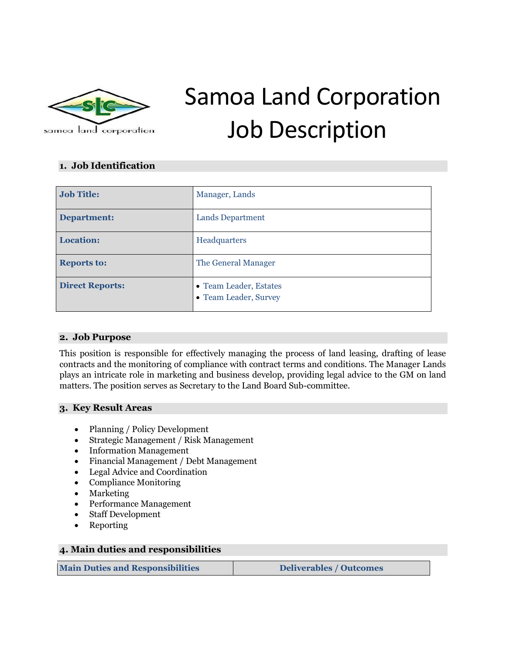

# Samoa Land Corporation Job Description

## **1. Job Identification**

| <b>Job Title:</b>      | Manager, Lands                                  |
|------------------------|-------------------------------------------------|
| Department:            | <b>Lands Department</b>                         |
| Location:              | Headquarters                                    |
| <b>Reports to:</b>     | The General Manager                             |
| <b>Direct Reports:</b> | • Team Leader, Estates<br>• Team Leader, Survey |

#### **2. Job Purpose**

This position is responsible for effectively managing the process of land leasing, drafting of lease contracts and the monitoring of compliance with contract terms and conditions. The Manager Lands plays an intricate role in marketing and business develop, providing legal advice to the GM on land matters. The position serves as Secretary to the Land Board Sub-committee.

#### **3. Key Result Areas**

- Planning / Policy Development
- Strategic Management / Risk Management
- Information Management
- Financial Management / Debt Management
- Legal Advice and Coordination
- Compliance Monitoring
- Marketing
- Performance Management
- Staff Development
- Reporting

#### **4. Main duties and responsibilities**

**Main Duties and Responsibilities Deliverables / Outcomes**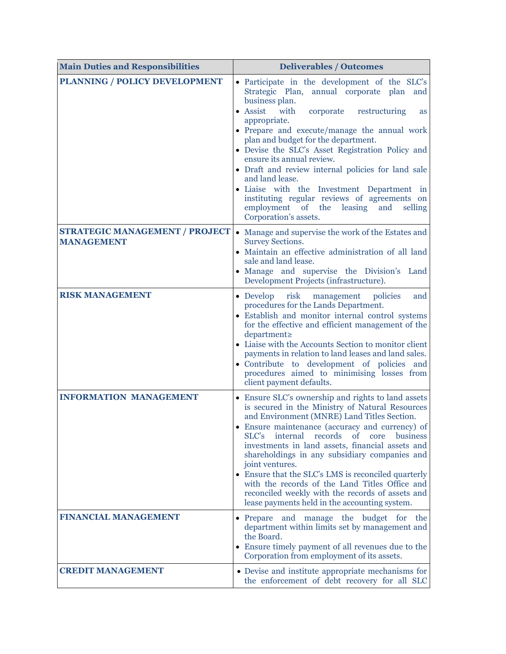| <b>Main Duties and Responsibilities</b>                    | <b>Deliverables / Outcomes</b>                                                                                                                                                                                                                                                                                                                                                                                                                                                                                                                                                                                        |  |
|------------------------------------------------------------|-----------------------------------------------------------------------------------------------------------------------------------------------------------------------------------------------------------------------------------------------------------------------------------------------------------------------------------------------------------------------------------------------------------------------------------------------------------------------------------------------------------------------------------------------------------------------------------------------------------------------|--|
| PLANNING / POLICY DEVELOPMENT                              | • Participate in the development of the SLC's<br>Strategic Plan, annual corporate plan<br>and<br>business plan.<br>• Assist<br>with<br>corporate<br>restructuring<br><b>as</b><br>appropriate.<br>• Prepare and execute/manage the annual work<br>plan and budget for the department.<br>• Devise the SLC's Asset Registration Policy and<br>ensure its annual review.<br>• Draft and review internal policies for land sale<br>and land lease.<br>· Liaise with the Investment Department in<br>instituting regular reviews of agreements on<br>employment of the leasing<br>and<br>selling<br>Corporation's assets. |  |
| <b>STRATEGIC MANAGEMENT / PROJECT</b><br><b>MANAGEMENT</b> | • Manage and supervise the work of the Estates and<br><b>Survey Sections.</b><br>• Maintain an effective administration of all land<br>sale and land lease.<br>• Manage and supervise the Division's Land<br>Development Projects (infrastructure).                                                                                                                                                                                                                                                                                                                                                                   |  |
| <b>RISK MANAGEMENT</b>                                     | risk<br>$\bullet$ Develop<br>policies<br>management<br>and<br>procedures for the Lands Department.<br>• Establish and monitor internal control systems<br>for the effective and efficient management of the<br>department≥<br>• Liaise with the Accounts Section to monitor client<br>payments in relation to land leases and land sales.<br>• Contribute to development of policies and<br>procedures aimed to minimising losses from<br>client payment defaults.                                                                                                                                                    |  |
| <b>INFORMATION MANAGEMENT</b>                              | • Ensure SLC's ownership and rights to land assets<br>is secured in the Ministry of Natural Resources<br>and Environment (MNRE) Land Titles Section.<br>• Ensure maintenance (accuracy and currency) of<br>internal records<br>SLC's<br>of<br>core<br>business<br>investments in land assets, financial assets and<br>shareholdings in any subsidiary companies and<br>joint ventures.<br>• Ensure that the SLC's LMS is reconciled quarterly<br>with the records of the Land Titles Office and<br>reconciled weekly with the records of assets and<br>lease payments held in the accounting system.                  |  |
| <b>FINANCIAL MANAGEMENT</b>                                | • Prepare and manage the budget for the<br>department within limits set by management and<br>the Board.<br>• Ensure timely payment of all revenues due to the<br>Corporation from employment of its assets.                                                                                                                                                                                                                                                                                                                                                                                                           |  |
| <b>CREDIT MANAGEMENT</b>                                   | • Devise and institute appropriate mechanisms for<br>the enforcement of debt recovery for all SLC                                                                                                                                                                                                                                                                                                                                                                                                                                                                                                                     |  |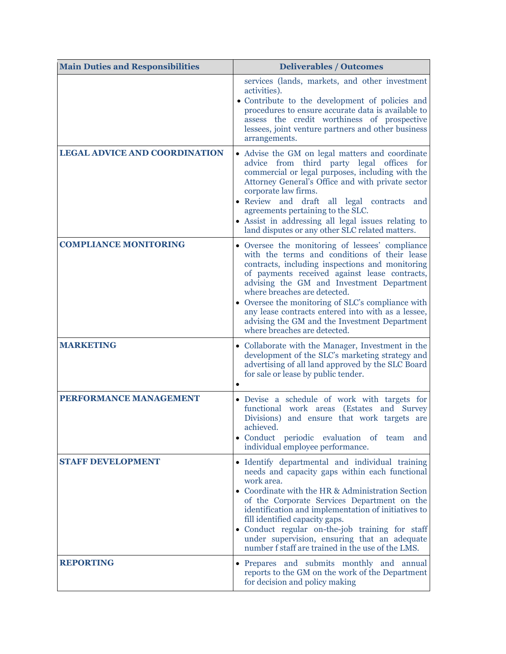| <b>Main Duties and Responsibilities</b> | <b>Deliverables / Outcomes</b>                                                                                                                                                                                                                                                                                                                                                                                                                                               |  |
|-----------------------------------------|------------------------------------------------------------------------------------------------------------------------------------------------------------------------------------------------------------------------------------------------------------------------------------------------------------------------------------------------------------------------------------------------------------------------------------------------------------------------------|--|
|                                         | services (lands, markets, and other investment<br>activities).<br>• Contribute to the development of policies and<br>procedures to ensure accurate data is available to<br>assess the credit worthiness of prospective<br>lessees, joint venture partners and other business<br>arrangements.                                                                                                                                                                                |  |
| <b>LEGAL ADVICE AND COORDINATION</b>    | • Advise the GM on legal matters and coordinate<br>advice from third party legal offices for<br>commercial or legal purposes, including with the<br>Attorney General's Office and with private sector<br>corporate law firms.<br>• Review and draft<br>all legal contracts and<br>agreements pertaining to the SLC.<br>• Assist in addressing all legal issues relating to<br>land disputes or any other SLC related matters.                                                |  |
| <b>COMPLIANCE MONITORING</b>            | • Oversee the monitoring of lessees' compliance<br>with the terms and conditions of their lease<br>contracts, including inspections and monitoring<br>of payments received against lease contracts,<br>advising the GM and Investment Department<br>where breaches are detected.<br>• Oversee the monitoring of SLC's compliance with<br>any lease contracts entered into with as a lessee,<br>advising the GM and the Investment Department<br>where breaches are detected. |  |
| <b>MARKETING</b>                        | • Collaborate with the Manager, Investment in the<br>development of the SLC's marketing strategy and<br>advertising of all land approved by the SLC Board<br>for sale or lease by public tender.                                                                                                                                                                                                                                                                             |  |
| PERFORMANCE MANAGEMENT                  | • Devise a schedule of work with targets for<br>functional work areas (Estates and Survey<br>Divisions) and ensure that work targets are<br>achieved.<br>• Conduct periodic evaluation of team and<br>individual employee performance.                                                                                                                                                                                                                                       |  |
| <b>STAFF DEVELOPMENT</b>                | · Identify departmental and individual training<br>needs and capacity gaps within each functional<br>work area.<br>• Coordinate with the HR & Administration Section<br>of the Corporate Services Department on the<br>identification and implementation of initiatives to<br>fill identified capacity gaps.<br>· Conduct regular on-the-job training for staff<br>under supervision, ensuring that an adequate<br>number f staff are trained in the use of the LMS.         |  |
| <b>REPORTING</b>                        | • Prepares and submits monthly and annual<br>reports to the GM on the work of the Department<br>for decision and policy making                                                                                                                                                                                                                                                                                                                                               |  |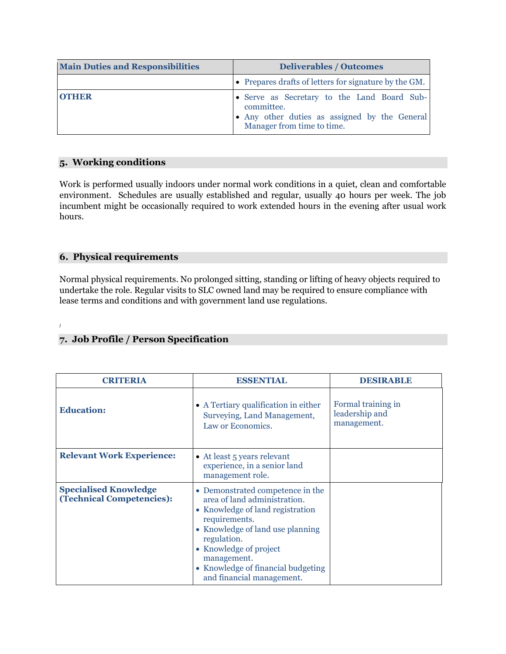| <b>Main Duties and Responsibilities</b> | <b>Deliverables / Outcomes</b><br>• Prepares drafts of letters for signature by the GM.                                                  |  |
|-----------------------------------------|------------------------------------------------------------------------------------------------------------------------------------------|--|
|                                         |                                                                                                                                          |  |
| <b>OTHER</b>                            | • Serve as Secretary to the Land Board Sub-<br>committee.<br>• Any other duties as assigned by the General<br>Manager from time to time. |  |

#### **5. Working conditions**

Work is performed usually indoors under normal work conditions in a quiet, clean and comfortable environment. Schedules are usually established and regular, usually 40 hours per week. The job incumbent might be occasionally required to work extended hours in the evening after usual work hours.

### **6. Physical requirements**

Normal physical requirements. No prolonged sitting, standing or lifting of heavy objects required to undertake the role. Regular visits to SLC owned land may be required to ensure compliance with lease terms and conditions and with government land use regulations.

#### /

#### **7. Job Profile / Person Specification**

| <b>CRITERIA</b>                                                  | <b>ESSENTIAL</b>                                                                                                                                                                                                                                                                     | DESIRABLE                                           |
|------------------------------------------------------------------|--------------------------------------------------------------------------------------------------------------------------------------------------------------------------------------------------------------------------------------------------------------------------------------|-----------------------------------------------------|
| <b>Education:</b>                                                | • A Tertiary qualification in either<br>Surveying, Land Management,<br>Law or Economics.                                                                                                                                                                                             | Formal training in<br>leadership and<br>management. |
| <b>Relevant Work Experience:</b>                                 | • At least 5 years relevant<br>experience, in a senior land<br>management role.                                                                                                                                                                                                      |                                                     |
| <b>Specialised Knowledge</b><br><b>(Technical Competencies):</b> | • Demonstrated competence in the<br>area of land administration.<br>• Knowledge of land registration<br>requirements.<br>• Knowledge of land use planning<br>regulation.<br>• Knowledge of project<br>management.<br>• Knowledge of financial budgeting<br>and financial management. |                                                     |